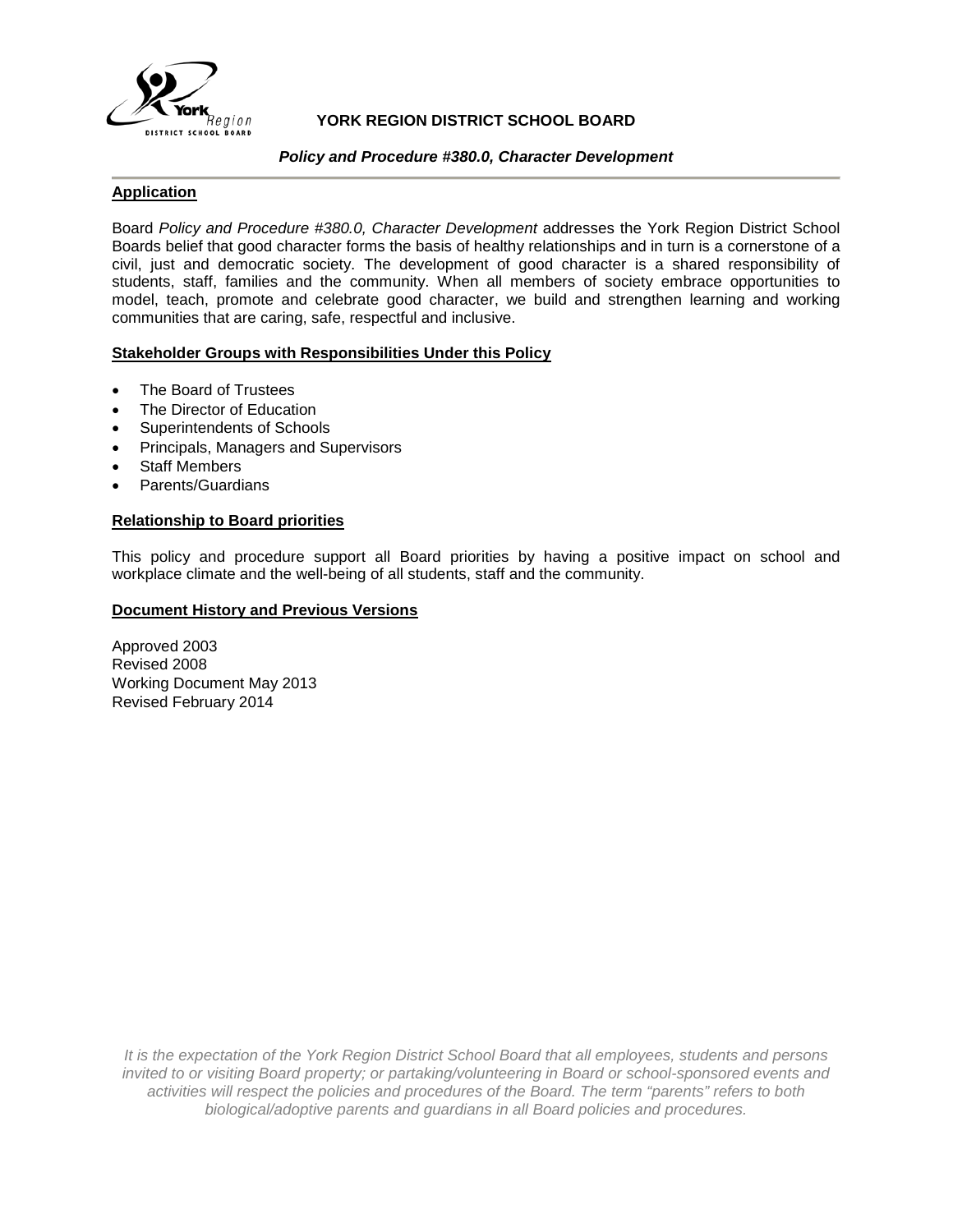

## **YORK REGION DISTRICT SCHOOL BOARD**

#### *Policy and Procedure #380.0, Character Development*

## **Application**

Board *Policy and Procedure #380.0, Character Development* addresses the York Region District School Boards belief that good character forms the basis of healthy relationships and in turn is a cornerstone of a civil, just and democratic society. The development of good character is a shared responsibility of students, staff, families and the community. When all members of society embrace opportunities to model, teach, promote and celebrate good character, we build and strengthen learning and working communities that are caring, safe, respectful and inclusive.

## **Stakeholder Groups with Responsibilities Under this Policy**

- The Board of Trustees
- The Director of Education
- Superintendents of Schools
- Principals, Managers and Supervisors
- **Staff Members**
- Parents/Guardians

## **Relationship to Board priorities**

This policy and procedure support all Board priorities by having a positive impact on school and workplace climate and the well-being of all students, staff and the community.

#### **Document History and Previous Versions**

Approved 2003 Revised 2008 Working Document May 2013 Revised February 2014

*It is the expectation of the York Region District School Board that all employees, students and persons invited to or visiting Board property; or partaking/volunteering in Board or school-sponsored events and activities will respect the policies and procedures of the Board. The term "parents" refers to both biological/adoptive parents and guardians in all Board policies and procedures.*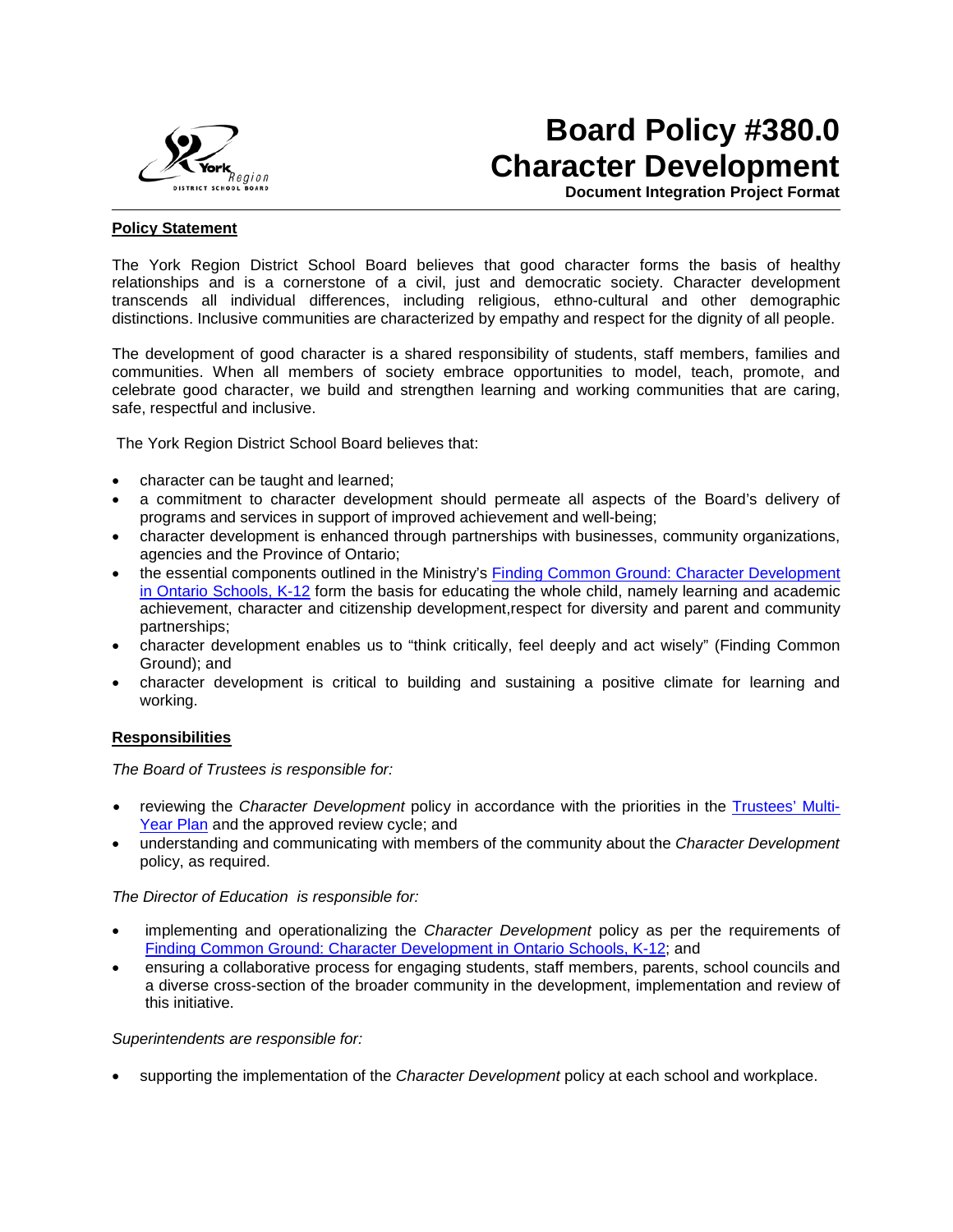

## **Board Policy #380.0 Character Development**

**Document Integration Project Format**

#### **Policy Statement**

The York Region District School Board believes that good character forms the basis of healthy relationships and is a cornerstone of a civil, just and democratic society. Character development transcends all individual differences, including religious, ethno-cultural and other demographic distinctions. Inclusive communities are characterized by empathy and respect for the dignity of all people.

The development of good character is a shared responsibility of students, staff members, families and communities. When all members of society embrace opportunities to model, teach, promote, and celebrate good character, we build and strengthen learning and working communities that are caring, safe, respectful and inclusive.

The York Region District School Board believes that:

- character can be taught and learned;
- a commitment to character development should permeate all aspects of the Board's delivery of programs and services in support of improved achievement and well-being;
- character development is enhanced through partnerships with businesses, community organizations, agencies and the Province of Ontario;
- the essential components outlined in the Ministry's [Finding Common Ground: Character Development](http://www.edu.gov.on.ca/eng/document/reports/literacy/booklet2008.pdf)  [in Ontario Schools, K-12](http://www.edu.gov.on.ca/eng/document/reports/literacy/booklet2008.pdf) form the basis for educating the whole child, namely learning and academic achievement, character and citizenship development,respect for diversity and parent and community partnerships;
- character development enables us to "think critically, feel deeply and act wisely" (Finding Common Ground); and
- character development is critical to building and sustaining a positive climate for learning and working.

#### **Responsibilities**

*The Board of Trustees is responsible for:* 

- reviewing the *Character Development* policy in accordance with the priorities in the [Trustees' Multi-](http://www.yrdsb.edu.on.ca/page.cfm?id=MYP000001)[Year Plan](http://www.yrdsb.edu.on.ca/page.cfm?id=MYP000001) and the approved review cycle; and
- understanding and communicating with members of the community about the *Character Development*  policy, as required.

*The Director of Education is responsible for:*

- implementing and operationalizing the *Character Development* policy as per the requirements of [Finding Common Ground: Character Development in Ontario Schools, K-12;](http://www.edu.gov.on.ca/eng/document/reports/literacy/booklet2008.pdf) and
- ensuring a collaborative process for engaging students, staff members, parents, school councils and a diverse cross-section of the broader community in the development, implementation and review of this initiative.

*Superintendents are responsible for:* 

• supporting the implementation of the *Character Development* policy at each school and workplace.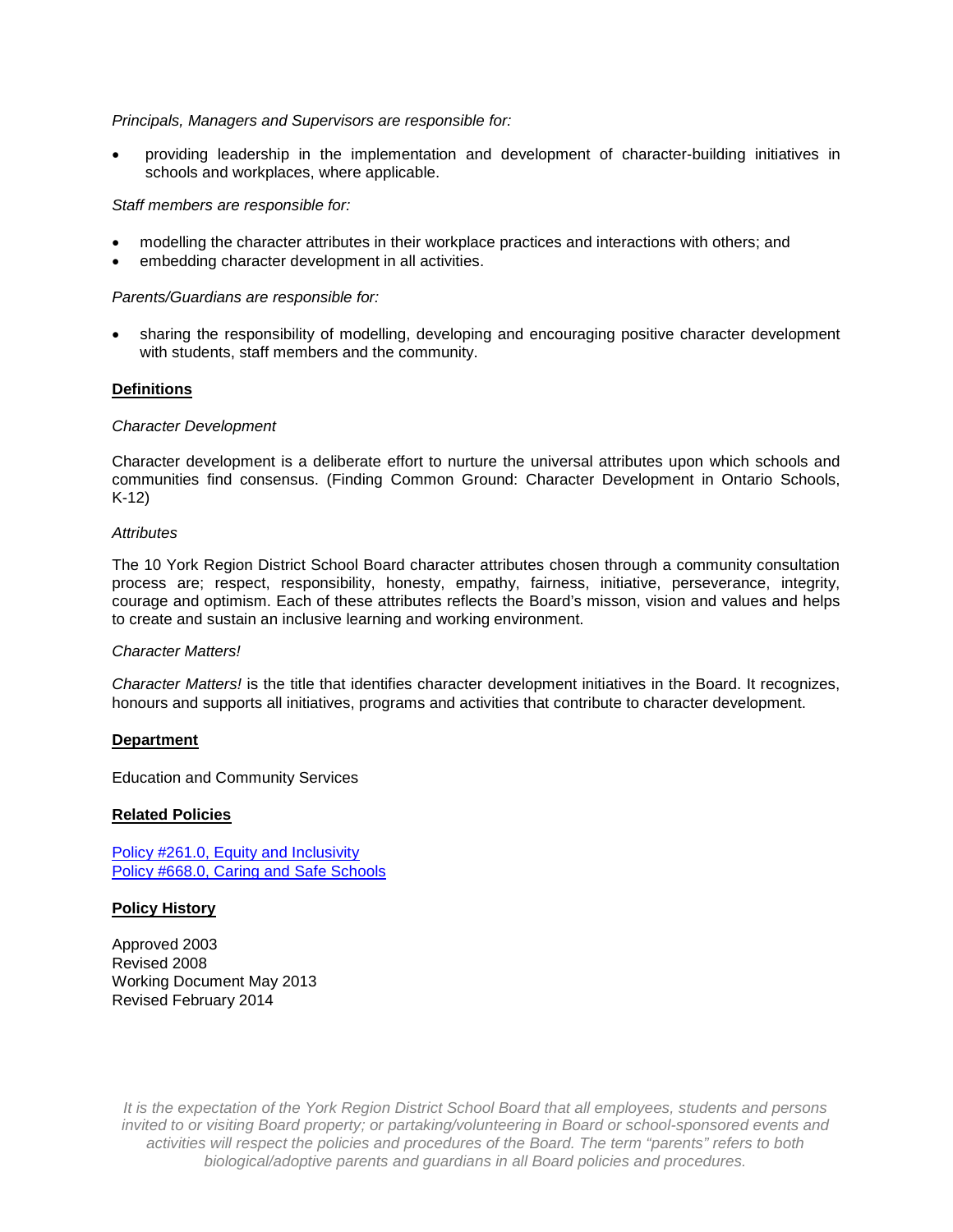#### *Principals, Managers and Supervisors are responsible for:*

• providing leadership in the implementation and development of character-building initiatives in schools and workplaces, where applicable.

#### *Staff members are responsible for:*

- modelling the character attributes in their workplace practices and interactions with others; and
- embedding character development in all activities.

#### *Parents/Guardians are responsible for:*

• sharing the responsibility of modelling, developing and encouraging positive character development with students, staff members and the community.

#### **Definitions**

#### *Character Development*

Character development is a deliberate effort to nurture the universal attributes upon which schools and communities find consensus. (Finding Common Ground: Character Development in Ontario Schools, K-12)

#### *Attributes*

The 10 York Region District School Board character attributes chosen through a community consultation process are; respect, responsibility, honesty, empathy, fairness, initiative, perseverance, integrity, courage and optimism. Each of these attributes reflects the Board's misson, vision and values and helps to create and sustain an inclusive learning and working environment.

#### *Character Matters!*

*Character Matters!* is the title that identifies character development initiatives in the Board. It recognizes, honours and supports all initiatives, programs and activities that contribute to character development.

#### **Department**

Education and Community Services

#### **Related Policies**

[Policy #261.0, Equity and Inclusivity](http://www.yrdsb.edu.on.ca/page.cfm?id=TP0000002&sn=B) [Policy #668.0, Caring and Safe Schools](http://www.yrdsb.edu.on.ca/page.cfm?id=TP0000002&sn=T)

#### **Policy History**

Approved 2003 Revised 2008 Working Document May 2013 Revised February 2014

*It is the expectation of the York Region District School Board that all employees, students and persons invited to or visiting Board property; or partaking/volunteering in Board or school-sponsored events and activities will respect the policies and procedures of the Board. The term "parents" refers to both biological/adoptive parents and guardians in all Board policies and procedures.*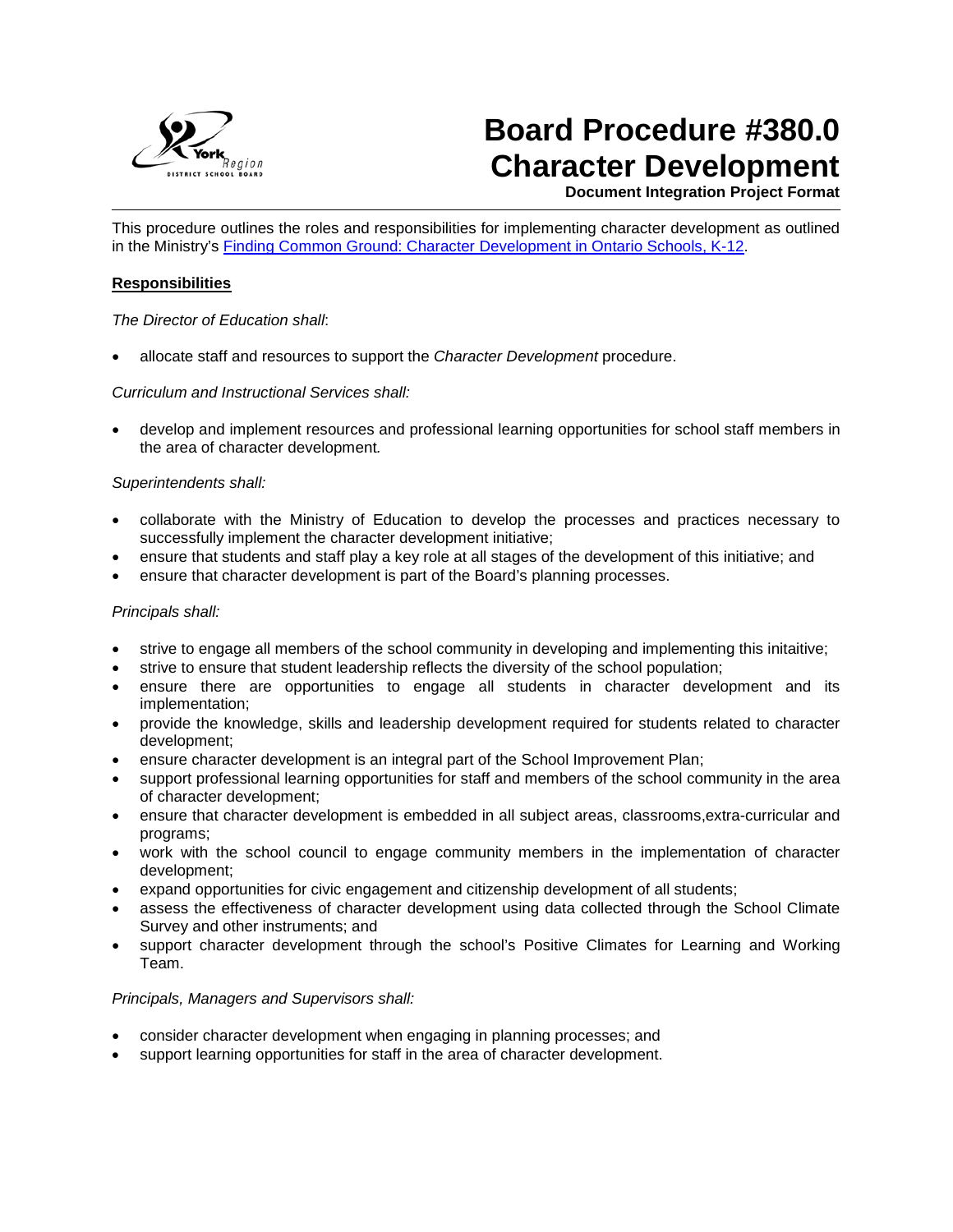

# **Board Procedure #380.0 Character Development**

**Document Integration Project Format**

This procedure outlines the roles and responsibilities for implementing character development as outlined in the Ministry's [Finding Common Ground: Character Development in Ontario Schools, K-12.](http://www.edu.gov.on.ca/eng/literacynumeracy/character.html)

#### **Responsibilities**

*The Director of Education shall*:

• allocate staff and resources to support the *Character Development* procedure.

*Curriculum and Instructional Services shall:*

• develop and implement resources and professional learning opportunities for school staff members in the area of character development*.*

## *Superintendents shall:*

- collaborate with the Ministry of Education to develop the processes and practices necessary to successfully implement the character development initiative;
- ensure that students and staff play a key role at all stages of the development of this initiative; and
- ensure that character development is part of the Board's planning processes.

## *Principals shall:*

- strive to engage all members of the school community in developing and implementing this initaitive;
- strive to ensure that student leadership reflects the diversity of the school population;
- ensure there are opportunities to engage all students in character development and its implementation;
- provide the knowledge, skills and leadership development required for students related to character development;
- ensure character development is an integral part of the School Improvement Plan;
- support professional learning opportunities for staff and members of the school community in the area of character development;
- ensure that character development is embedded in all subject areas, classrooms,extra-curricular and programs;
- work with the school council to engage community members in the implementation of character development;
- expand opportunities for civic engagement and citizenship development of all students;
- assess the effectiveness of character development using data collected through the School Climate Survey and other instruments; and
- support character development through the school's Positive Climates for Learning and Working Team.

#### *Principals, Managers and Supervisors shall:*

- consider character development when engaging in planning processes; and
- support learning opportunities for staff in the area of character development.